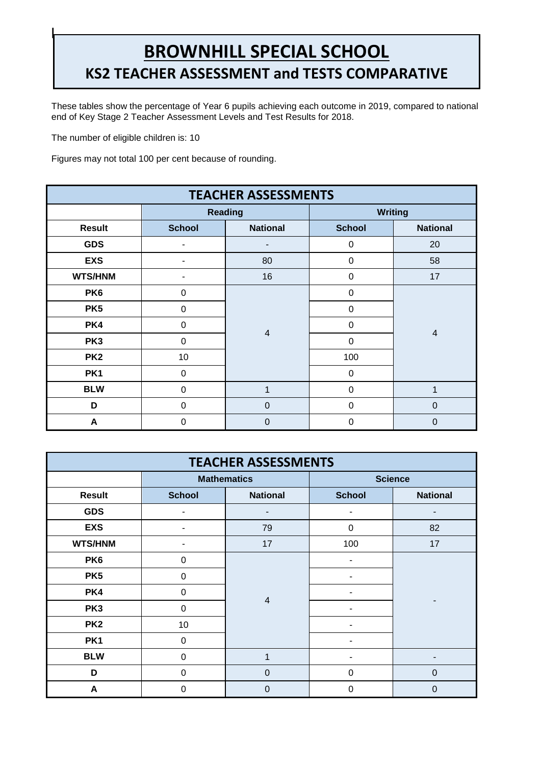## **BROWNHILL SPECIAL SCHOOL KS2 TEACHER ASSESSMENT and TESTS COMPARATIVE**

These tables show the percentage of Year 6 pupils achieving each outcome in 2019, compared to national end of Key Stage 2 Teacher Assessment Levels and Test Results for 2018. **REPORT**

The number of eligible children is: 10

**|**

Figures may not total 100 per cent because of rounding.

| <b>TEACHER ASSESSMENTS</b> |               |                 |                |                 |  |  |  |
|----------------------------|---------------|-----------------|----------------|-----------------|--|--|--|
|                            |               | <b>Reading</b>  | <b>Writing</b> |                 |  |  |  |
| <b>Result</b>              | <b>School</b> | <b>National</b> | <b>School</b>  | <b>National</b> |  |  |  |
| <b>GDS</b>                 |               | ۰               | $\mathbf 0$    | 20              |  |  |  |
| <b>EXS</b>                 |               | 80              | $\Omega$       | 58              |  |  |  |
| <b>WTS/HNM</b>             |               | 16              | $\mathbf 0$    | 17              |  |  |  |
| PK <sub>6</sub>            | $\Omega$      |                 | $\Omega$       | $\overline{4}$  |  |  |  |
| PK <sub>5</sub>            | $\Omega$      |                 | $\Omega$       |                 |  |  |  |
| PK4                        | $\Omega$      |                 | $\Omega$       |                 |  |  |  |
| PK <sub>3</sub>            | $\mathbf 0$   | $\overline{4}$  | $\Omega$       |                 |  |  |  |
| PK <sub>2</sub>            | 10            |                 | 100            |                 |  |  |  |
| PK <sub>1</sub>            | $\mathbf 0$   |                 | $\Omega$       |                 |  |  |  |
| <b>BLW</b>                 | 0             | 1               | $\mathbf 0$    | 1               |  |  |  |
| D                          | $\Omega$      | $\mathbf 0$     | $\Omega$       | $\mathbf 0$     |  |  |  |
| A                          | $\Omega$      | $\mathbf 0$     | $\Omega$       | $\mathbf 0$     |  |  |  |

| <b>TEACHER ASSESSMENTS</b> |                |                    |                |                 |  |  |  |
|----------------------------|----------------|--------------------|----------------|-----------------|--|--|--|
|                            |                | <b>Mathematics</b> | <b>Science</b> |                 |  |  |  |
| <b>Result</b>              | <b>School</b>  | <b>National</b>    | <b>School</b>  | <b>National</b> |  |  |  |
| <b>GDS</b>                 |                |                    |                |                 |  |  |  |
| <b>EXS</b>                 |                | 79                 | $\overline{0}$ | 82              |  |  |  |
| <b>WTS/HNM</b>             |                | 17                 | 100            | 17              |  |  |  |
| PK <sub>6</sub>            | 0              |                    |                |                 |  |  |  |
| PK <sub>5</sub>            | 0              |                    |                |                 |  |  |  |
| PK4                        | $\mathbf 0$    | $\overline{4}$     |                |                 |  |  |  |
| PK <sub>3</sub>            | $\mathbf 0$    |                    |                |                 |  |  |  |
| PK <sub>2</sub>            | 10             |                    |                |                 |  |  |  |
| PK <sub>1</sub>            | $\Omega$       |                    |                |                 |  |  |  |
| <b>BLW</b>                 | 0              | $\mathbf{1}$       |                |                 |  |  |  |
| D                          | $\overline{0}$ | $\mathbf 0$        | 0              | 0               |  |  |  |
| A                          | $\Omega$       | $\mathbf 0$        | 0              | 0               |  |  |  |